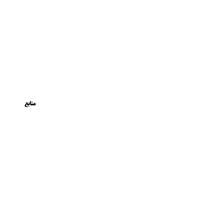**منببع**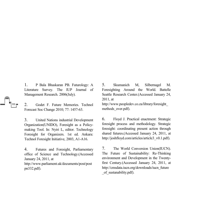1. P Bala Bhaskaran PB. Futurology: A Literature Survey. The IUP Journal of Management Research. 2006(July).

2. Godet F. Future Memories. Technol Forecast Soc Change 2010; 77: 1457-63.

3. United Nations industrial Development Organization(UNIDO), Foresight as a Policymaking Tool. In: Nyiri L, editor. Technology Foresight for Organizers. 1st ed. Ankara: Technol Foresight Initiative, 2003, A1-A16.

4. Futures and Foresight, Parliamentary office of Science and Technology.(Accessed January 24, 2011, at

http://www.parliament.uk/documents/post/post pn332.pdf).

5. Skumanich M, Silbernagel M. Foresighting Around the World. Battelle Seattle Research Center.(Accessed January 24, 2011, at

http://www.peopledev.co.za/library/foresight\_ methods over.pdf).

6. Floyd J. Practical enactment: Strategic foresight process and methodology. Strategic foresight: coordinating present action through shared futures.(Accessed January 24, 2011, at http://joshfloyd.com/articles/article3\_v0.1.pdf).

7. The World Conversion Union(IUCN). The Future of Sustainability: Re-Thinking environment and Development in the Twentyfirst Century.(Accessed January 24, 2011, at http://cmsdata.iucn.org/downloads/iucn\_future of sustanability.pdf).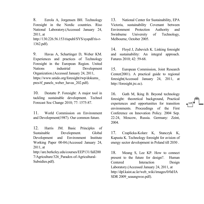8. Eerola A, Jorgensen BH. Technology Foresight in the Nordic countries. Riso National Laboratory.(Accessed January 24, 2011, at

http://130.226.56.153/rispubl/SYS/syspdf/ris-r-1362.pdf).

9. Havas A, Schartinger D, Weber KM. Experiences and practices of Technology Foresight in the European Region. United Nations industrial Development Organization.(Accessed January 24, 2011, https://www.unido.org/foresight/rwp/dokums\_ pres/tf\_panels\_weber\_havas\_202.pdf).

10. Destatte P. Foresight: A major tool in tackling sustainable development. Technol Forecast Soc Change 2010; 77: 1575-87.

11. World Commission on Environment and Development(1987). Our common future.

12. Harris JM. Basic Principles of Sustainable Development. Global Development and Environment Institute Working Paper 00-04.(Accessed January 24, 2011, at

http://are.berkeley.edu/courses/EEP131/fall200 7/Agriculture/326\_Paradox-of-Agricultural-Subsidies.pdf).

13. National Center for Sustainability, EPA Victoria, sustainability Covenant between Environment Protection Authority and Swinburne University of Technology, Melbourne, October 2005.

14. Floyd J, Zubevich K. Linking foresight and sustainability: An integral approach. Futures 2010; 42: 59-68.

15. European Commission, Joint Research Center(2001). A practical guide to regional foresight(Accessed January 24, 2011, at http://foresight.jrc.ec).

16. Guth M, lking B. Beyond technology foresight: theoretical background, Practical experiences and opportunities for transition environments. Proceedings of the First Conference on Innovation Policy. 2004 Sep. 22-24, Moscow, Russia. Germany: Zeint, 2004.

**112** .

17. Czaplicka-Kolarz K, Stanczyk K, Kapusta K. Technology foresight for avision of energy sector development in Poland till 2030 .

18. Meang S, Lee KP. How to connect present to the future for design?. Human Centered Interaction Design Laboratory.(Accessed January 24, 2011, at http://dpl.kaist.ac.kr/web\_wiki/images/0/0d/IA SDR 2009\_seaungwoo.pdf).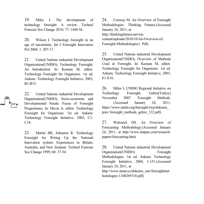19. Miles I. The development of technology foresight: A review. Technol Forecast Soc Change 2010; 77: 1448-56.

20. Wilson I. Technology foresight in an age of uncertainty. Int J Foresight Innovation Pol 2004; 1: 207-17.

21. United Nations industrial Development Organization(UNIDO), Technology Foresight: An Introduction. In: Keenan M, editor. Technology Foresight for Organizers. 1st ed. Ankara: Technology Foresight Initiative, 2003, B1-B13.

22. United Nations industrial Development Organization(UNIDO), Socio-economic and Developmental Needs: Focus of Foresight Programmes. In: Havas A, editor. Technology Foresight for Organizers. 1st ed. Ankara: Technology Foresight Initiative, 2003, C1- C18.

23. Martin BR, Johnston R. Technology Foresight for Wiring Up the National Innovation system: Experiences in Britain, Australia, and New Zealand. Technol Forecast Soc Change 1999; 60: 37-54.

24. Conway M. An Overview of Foresight Methodologies. Thinking Futures.(Accessed January 24, 2011, at http://thinkingfutures.net/wpcontent/uploads/2010/10/An-Overview-of-Foresight-Methodologies1. Pdf).

25. United Nations industrial Development Organization(UNIDO), Overview of Methods Used in Foresight. In: Keenan M, editor. Technology Foresight for Organizers. 1st ed. Ankara: Technology Foresight Initiative, 2003, E1-E16.

26. Miles I, UNIDO Regional Initiative on Technology Foresight, Gebze(Turkey) November 2007. Foresight Methods. (Accessed January 24, 2011, https://www.unido.org/foresight/rwp/dokums\_ pres/ foresight\_methods\_gebze\_122.pdf).

27. Walonick DS. An Overview of Forecasting Methodology.(Accessed January 24, 2011, at http://www.statpac.com/researchpapers/forecasting.htm)

28. United Nations industrial Development Organization(UNIDO). Foresight Methodologies. 1st ed. Ankara: Technology Foresight Initiative, 2004, 1-151.(Accessed January 24, 2011, at http://www.strast.cz/dokums\_raw/foresightmet hodologies 1168269318.pdf).

**113** <sup>ط</sup>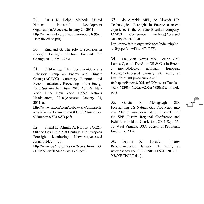29. Cuhls K. Delphi Methods. United<br>Nations industrial Development industrial Development Organization.(Accessed January 24, 2011, http://www.unido.org/fileadmin/import/16959\_ DelphiMethod.pdf).

30. Ringland G. The role of scenarios in strategic foresight. Technol Forecast Soc Change 2010; 77: 1493-8.

31. UN-Energy, The Secretary-General s Advisory Group on Energy and Climate Change(AGECC). Summary Reported and Recommendations. Proceeding of the Energy for a Sustainable Future. 2010 Apr. 28, New York, USA. New York: United Nations Headquarters, 2010.(Accessed January 24, 2011, at

http://www.un.org/wcm/webdav/site/climatech ange/shared/Documents/AGECC%20summary %20report%5B1%5D.pdf).

32. Strand JE, Alming A. Norway s OG21-Oil and Gas in the 21st Century. The European Foresight Monitoring Network.(Accessed January 24, 2011, at

http://www.og21.org/filestore/News\_from\_OG / EFMNBrief109NorwayOG21.pdf).

33. de Almeida MFL, de Almeida HP. Technological Foresight in Energy: a recent experience in the oil state Brazilian company. IAMOT Conference Archive.(Accessed January 24, 2011, at http://www.iamot.org/conference/index.php/oc s/10/paper/viewFile/1479/677).

34. Stallivieri Neves MA, Coelho GM, Lemos C, et al. Trends in Oil & Gas in Brazil: a methodological approach. European Foresight.(Accessed January 24, 2011, at http://foresight.jrc.ec.europa.eu/ fta/papers/Papers%20from%20posters/Trends %20in%20Oil%20&%20Gas%20in%20Brazil. pdf).

35. Garcia A, Mohaghegh SD. Foresighting US Natural Gas Production into year 2020: a comparative study. Proceeding of the SPE Eastern Regional Conference and Exhibition held in Charleston, 2004 Sep. 15- 17, West Virginia, USA. Society of Petroleum Engineers, 2004.

**114** .

36. Lennon SJ. Foresight Energy Report.(Accessed January 24, 2011, at www.dst.gov.za/.../FORESIGHT%20ENERG Y%20REPORT.doc).